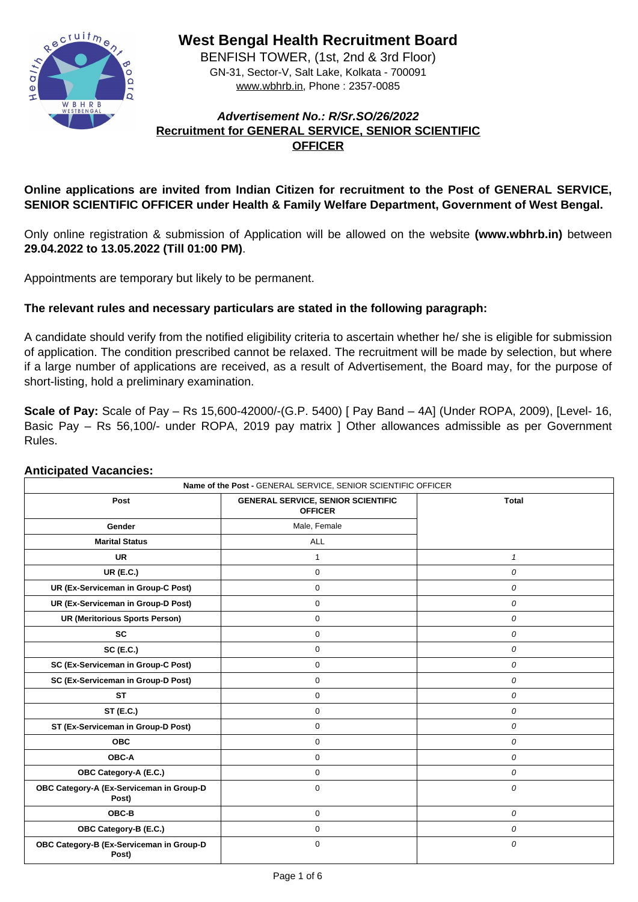

**West Bengal Health Recruitment Board**

BENFISH TOWER, (1st, 2nd & 3rd Floor) GN-31, Sector-V, Salt Lake, Kolkata - 700091 www.wbhrb.in, Phone : 2357-0085

# **Advertisement No.: R/Sr.SO/26/2022 Recruitment for GENERAL SERVICE, SENIOR SCIENTIFIC OFFICER**

# **Online applications are invited from Indian Citizen for recruitment to the Post of GENERAL SERVICE, SENIOR SCIENTIFIC OFFICER under Health & Family Welfare Department, Government of West Bengal.**

Only online registration & submission of Application will be allowed on the website **(www.wbhrb.in)** between **29.04.2022 to 13.05.2022 (Till 01:00 PM)**.

Appointments are temporary but likely to be permanent.

# **The relevant rules and necessary particulars are stated in the following paragraph:**

A candidate should verify from the notified eligibility criteria to ascertain whether he/ she is eligible for submission of application. The condition prescribed cannot be relaxed. The recruitment will be made by selection, but where if a large number of applications are received, as a result of Advertisement, the Board may, for the purpose of short-listing, hold a preliminary examination.

**Scale of Pay:** Scale of Pay – Rs 15,600-42000/-(G.P. 5400) [ Pay Band – 4A] (Under ROPA, 2009), [Level- 16, Basic Pay – Rs 56,100/- under ROPA, 2019 pay matrix ] Other allowances admissible as per Government Rules.

## **Anticipated Vacancies:**

| Name of the Post - GENERAL SERVICE, SENIOR SCIENTIFIC OFFICER |                                                             |                  |  |  |  |
|---------------------------------------------------------------|-------------------------------------------------------------|------------------|--|--|--|
| <b>Post</b>                                                   | <b>GENERAL SERVICE, SENIOR SCIENTIFIC</b><br><b>OFFICER</b> | <b>Total</b>     |  |  |  |
| <b>Gender</b>                                                 | Male, Female                                                |                  |  |  |  |
| <b>Marital Status</b>                                         | ALL                                                         |                  |  |  |  |
| <b>UR</b>                                                     |                                                             |                  |  |  |  |
| <b>UR (E.C.)</b>                                              | $\overline{0}$                                              | $\boldsymbol{0}$ |  |  |  |
| <b>UR (Ex-Serviceman in Group-C Post)</b>                     | $\overline{0}$                                              | $\boldsymbol{O}$ |  |  |  |
| UR (Ex-Serviceman in Group-D Post)                            | 0                                                           | 0                |  |  |  |
| <b>UR (Meritorious Sports Person)</b>                         | $\overline{0}$                                              | $\boldsymbol{0}$ |  |  |  |
| <b>SC</b>                                                     | 0                                                           | $\overline{0}$   |  |  |  |
| SC(E.C.)                                                      | $\overline{0}$                                              | $\boldsymbol{0}$ |  |  |  |
| <b>SC (Ex-Serviceman in Group-C Post)</b>                     | $\overline{0}$                                              | $\overline{O}$   |  |  |  |
| <b>SC (Ex-Serviceman in Group-D Post)</b>                     | $\overline{0}$                                              | 0                |  |  |  |
| <b>ST</b>                                                     | $\overline{0}$                                              | $\boldsymbol{0}$ |  |  |  |
| <b>ST (E.C.)</b>                                              | $\boldsymbol{0}$                                            | 0                |  |  |  |
| <b>ST (Ex-Serviceman in Group-D Post)</b>                     | $\overline{0}$                                              | 0                |  |  |  |
| <b>OBC</b>                                                    | $\overline{0}$                                              | 0                |  |  |  |
| <b>OBC-A</b>                                                  | $\overline{0}$                                              | $\boldsymbol{0}$ |  |  |  |
| <b>OBC Category-A (E.C.)</b>                                  | 0                                                           | $\boldsymbol{O}$ |  |  |  |
| OBC Category-A (Ex-Serviceman in Group-D<br>Post)             | $\overline{0}$                                              | $\boldsymbol{O}$ |  |  |  |
| OBC-B                                                         | $\mathbf 0$                                                 | $\boldsymbol{O}$ |  |  |  |
| <b>OBC Category-B (E.C.)</b>                                  | $\overline{0}$                                              | $\boldsymbol{O}$ |  |  |  |
| OBC Category-B (Ex-Serviceman in Group-D<br>Post)             | $\overline{0}$                                              | $\bm{O}$         |  |  |  |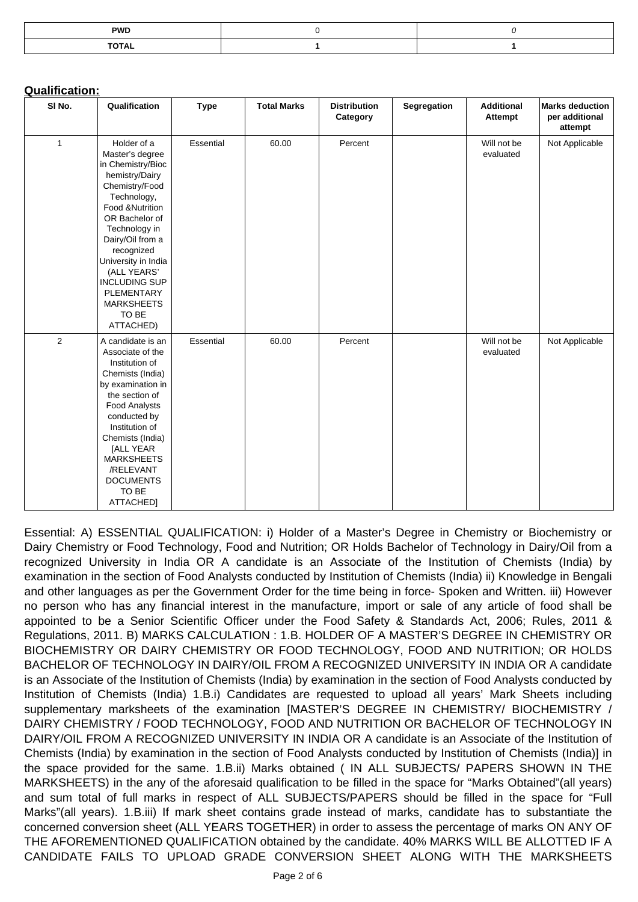| <b>PWD</b>   |  |
|--------------|--|
| <b>TOTAL</b> |  |

## **Qualification:**

| SI No.         | Qualification                                                                                                                                                                                                                                                                                                                           | <b>Type</b>      | <b>Total Marks</b> | <b>Distribution</b><br>Category | <b>Segregation</b> | <b>Additional</b><br><b>Attempt</b> | <b>Marks deduction</b><br>per additional<br>attempt |
|----------------|-----------------------------------------------------------------------------------------------------------------------------------------------------------------------------------------------------------------------------------------------------------------------------------------------------------------------------------------|------------------|--------------------|---------------------------------|--------------------|-------------------------------------|-----------------------------------------------------|
|                | Holder of a<br>Master's degree<br>in Chemistry/Bioc<br>hemistry/Dairy<br>Chemistry/Food<br>Technology,<br><b>Food &amp;Nutrition</b><br>OR Bachelor of<br>Technology in<br>Dairy/Oil from a<br>recognized<br>University in India<br>(ALL YEARS'<br><b>INCLUDING SUP</b><br><b>PLEMENTARY</b><br><b>MARKSHEETS</b><br>TO BE<br>ATTACHED) | <b>Essential</b> | 60.00              | Percent                         |                    | Will not be<br>evaluated            | Not Applicable                                      |
| $\overline{2}$ | A candidate is an<br>Associate of the<br>Institution of<br>Chemists (India)<br>by examination in<br>the section of<br><b>Food Analysts</b><br>conducted by<br>Institution of<br>Chemists (India)<br>[ALL YEAR<br><b>MARKSHEETS</b><br>/RELEVANT<br><b>DOCUMENTS</b><br>TO BE<br>ATTACHED]                                               | <b>Essential</b> | 60.00              | Percent                         |                    | Will not be<br>evaluated            | Not Applicable                                      |

Essential: A) ESSENTIAL QUALIFICATION: i) Holder of a Master's Degree in Chemistry or Biochemistry or Dairy Chemistry or Food Technology, Food and Nutrition; OR Holds Bachelor of Technology in Dairy/Oil from a recognized University in India OR A candidate is an Associate of the Institution of Chemists (India) by examination in the section of Food Analysts conducted by Institution of Chemists (India) ii) Knowledge in Bengali and other languages as per the Government Order for the time being in force- Spoken and Written. iii) However no person who has any financial interest in the manufacture, import or sale of any article of food shall be appointed to be a Senior Scientific Officer under the Food Safety & Standards Act, 2006; Rules, 2011 & Regulations, 2011. B) MARKS CALCULATION : 1.B. HOLDER OF A MASTER'S DEGREE IN CHEMISTRY OR BIOCHEMISTRY OR DAIRY CHEMISTRY OR FOOD TECHNOLOGY, FOOD AND NUTRITION; OR HOLDS BACHELOR OF TECHNOLOGY IN DAIRY/OIL FROM A RECOGNIZED UNIVERSITY IN INDIA OR A candidate is an Associate of the Institution of Chemists (India) by examination in the section of Food Analysts conducted by Institution of Chemists (India) 1.B.i) Candidates are requested to upload all years' Mark Sheets including supplementary marksheets of the examination [MASTER'S DEGREE IN CHEMISTRY/ BIOCHEMISTRY / DAIRY CHEMISTRY / FOOD TECHNOLOGY, FOOD AND NUTRITION OR BACHELOR OF TECHNOLOGY IN DAIRY/OIL FROM A RECOGNIZED UNIVERSITY IN INDIA OR A candidate is an Associate of the Institution of Chemists (India) by examination in the section of Food Analysts conducted by Institution of Chemists (India)] in the space provided for the same. 1.B.ii) Marks obtained ( IN ALL SUBJECTS/ PAPERS SHOWN IN THE MARKSHEETS) in the any of the aforesaid qualification to be filled in the space for "Marks Obtained"(all years) and sum total of full marks in respect of ALL SUBJECTS/PAPERS should be filled in the space for "Full Marks"(all years). 1.B.iii) If mark sheet contains grade instead of marks, candidate has to substantiate the concerned conversion sheet (ALL YEARS TOGETHER) in order to assess the percentage of marks ON ANY OF THE AFOREMENTIONED QUALIFICATION obtained by the candidate. 40% MARKS WILL BE ALLOTTED IF A CANDIDATE FAILS TO UPLOAD GRADE CONVERSION SHEET ALONG WITH THE MARKSHEETS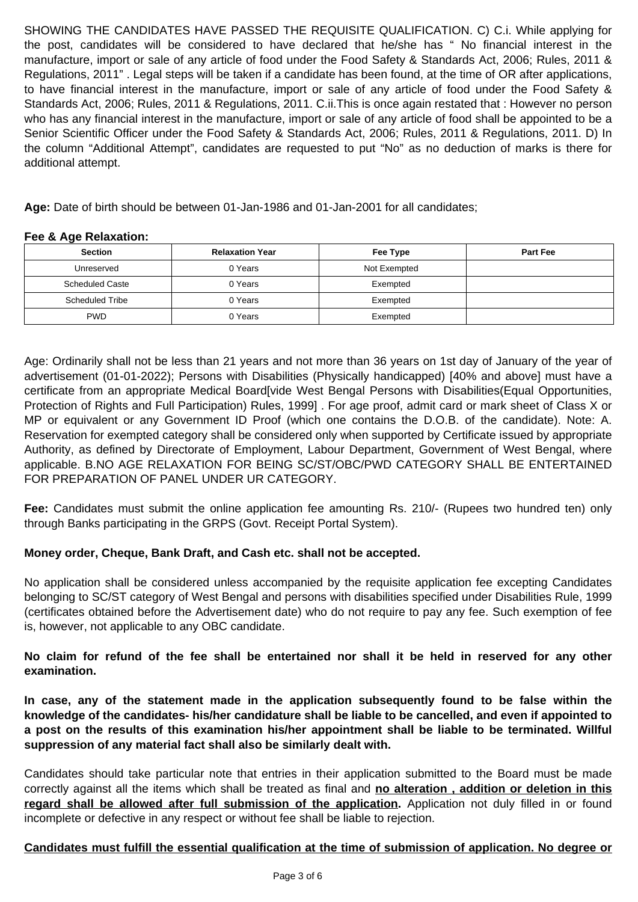SHOWING THE CANDIDATES HAVE PASSED THE REQUISITE QUALIFICATION. C) C.i. While applying for the post, candidates will be considered to have declared that he/she has " No financial interest in the manufacture, import or sale of any article of food under the Food Safety & Standards Act, 2006; Rules, 2011 & Regulations, 2011" . Legal steps will be taken if a candidate has been found, at the time of OR after applications, to have financial interest in the manufacture, import or sale of any article of food under the Food Safety & Standards Act, 2006; Rules, 2011 & Regulations, 2011. C.ii.This is once again restated that : However no person who has any financial interest in the manufacture, import or sale of any article of food shall be appointed to be a Senior Scientific Officer under the Food Safety & Standards Act, 2006; Rules, 2011 & Regulations, 2011. D) In the column "Additional Attempt", candidates are requested to put "No" as no deduction of marks is there for additional attempt.

**Age:** Date of birth should be between 01-Jan-1986 and 01-Jan-2001 for all candidates;

#### **Fee & Age Relaxation:**

| <b>Section</b>         | <b>Relaxation Year</b> | Fee Type     | <b>Part Fee</b> |
|------------------------|------------------------|--------------|-----------------|
| Unreserved             | 0 Years                | Not Exempted |                 |
| <b>Scheduled Caste</b> | 0 Years                | Exempted     |                 |
| <b>Scheduled Tribe</b> | 0 Years                | Exempted     |                 |
| <b>PWD</b>             | 0 Years                | Exempted     |                 |

Age: Ordinarily shall not be less than 21 years and not more than 36 years on 1st day of January of the year of advertisement (01-01-2022); Persons with Disabilities (Physically handicapped) [40% and above] must have a certificate from an appropriate Medical Board[vide West Bengal Persons with Disabilities(Equal Opportunities, Protection of Rights and Full Participation) Rules, 1999] . For age proof, admit card or mark sheet of Class X or MP or equivalent or any Government ID Proof (which one contains the D.O.B. of the candidate). Note: A. Reservation for exempted category shall be considered only when supported by Certificate issued by appropriate Authority, as defined by Directorate of Employment, Labour Department, Government of West Bengal, where applicable. B.NO AGE RELAXATION FOR BEING SC/ST/OBC/PWD CATEGORY SHALL BE ENTERTAINED FOR PREPARATION OF PANEL UNDER UR CATEGORY.

**Fee:** Candidates must submit the online application fee amounting Rs. 210/- (Rupees two hundred ten) only through Banks participating in the GRPS (Govt. Receipt Portal System).

#### **Money order, Cheque, Bank Draft, and Cash etc. shall not be accepted.**

No application shall be considered unless accompanied by the requisite application fee excepting Candidates belonging to SC/ST category of West Bengal and persons with disabilities specified under Disabilities Rule, 1999 (certificates obtained before the Advertisement date) who do not require to pay any fee. Such exemption of fee is, however, not applicable to any OBC candidate.

**No claim for refund of the fee shall be entertained nor shall it be held in reserved for any other examination.**

**In case, any of the statement made in the application subsequently found to be false within the knowledge of the candidates- his/her candidature shall be liable to be cancelled, and even if appointed to a post on the results of this examination his/her appointment shall be liable to be terminated. Willful suppression of any material fact shall also be similarly dealt with.**

Candidates should take particular note that entries in their application submitted to the Board must be made correctly against all the items which shall be treated as final and **no alteration , addition or deletion in this** regard shall be allowed after full submission of the application. Application not duly filled in or found incomplete or defective in any respect or without fee shall be liable to rejection.

#### **Candidates must fulfill the essential qualification at the time of submission of application. No degree or**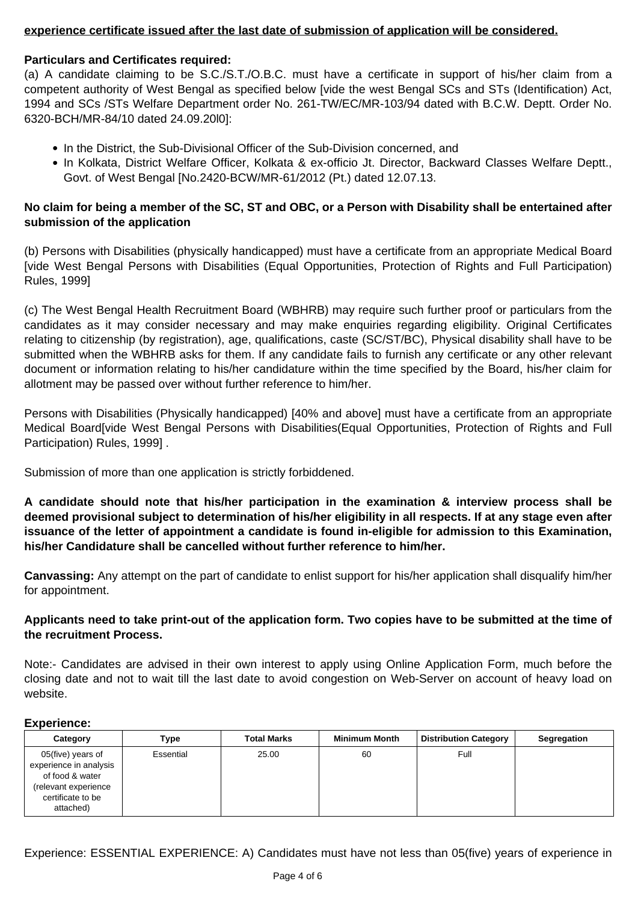# **experience certificate issued after the last date of submission of application will be considered.**

## **Particulars and Certificates required:**

(a) A candidate claiming to be S.C./S.T./O.B.C. must have a certificate in support of his/her claim from a competent authority of West Bengal as specified below [vide the west Bengal SCs and STs (Identification) Act, 1994 and SCs /STs Welfare Department order No. 261-TW/EC/MR-103/94 dated with B.C.W. Deptt. Order No. 6320-BCH/MR-84/10 dated 24.09.20l0]:

- In the District, the Sub-Divisional Officer of the Sub-Division concerned, and
- In Kolkata, District Welfare Officer, Kolkata & ex-officio Jt. Director, Backward Classes Welfare Deptt., Govt. of West Bengal [No.2420-BCW/MR-61/2012 (Pt.) dated 12.07.13.

# **No claim for being a member of the SC, ST and OBC, or a Person with Disability shall be entertained after submission of the application**

(b) Persons with Disabilities (physically handicapped) must have a certificate from an appropriate Medical Board [vide West Bengal Persons with Disabilities (Equal Opportunities, Protection of Rights and Full Participation) Rules, 1999]

(c) The West Bengal Health Recruitment Board (WBHRB) may require such further proof or particulars from the candidates as it may consider necessary and may make enquiries regarding eligibility. Original Certificates relating to citizenship (by registration), age, qualifications, caste (SC/ST/BC), Physical disability shall have to be submitted when the WBHRB asks for them. If any candidate fails to furnish any certificate or any other relevant document or information relating to his/her candidature within the time specified by the Board, his/her claim for allotment may be passed over without further reference to him/her.

Persons with Disabilities (Physically handicapped) [40% and above] must have a certificate from an appropriate Medical Board[vide West Bengal Persons with Disabilities(Equal Opportunities, Protection of Rights and Full Participation) Rules, 1999] .

Submission of more than one application is strictly forbiddened.

**A candidate should note that his/her participation in the examination & interview process shall be deemed provisional subject to determination of his/her eligibility in all respects. If at any stage even after issuance of the letter of appointment a candidate is found in-eligible for admission to this Examination, his/her Candidature shall be cancelled without further reference to him/her.**

**Canvassing:** Any attempt on the part of candidate to enlist support for his/her application shall disqualify him/her for appointment.

# **Applicants need to take print-out of the application form. Two copies have to be submitted at the time of the recruitment Process.**

Note:- Candidates are advised in their own interest to apply using Online Application Form, much before the closing date and not to wait till the last date to avoid congestion on Web-Server on account of heavy load on website.

# **Experience:**

| Category                                                                                                                 | <b>Type</b>      | <b>Total Marks</b> | <b>Minimum Month</b> | <b>Distribution Category</b> | <b>Segregation</b> |
|--------------------------------------------------------------------------------------------------------------------------|------------------|--------------------|----------------------|------------------------------|--------------------|
| 05(five) years of<br>experience in analysis<br>of food & water<br>(relevant experience<br>certificate to be<br>attached) | <b>Essential</b> | 25.00              | 60                   | Full                         |                    |

Experience: ESSENTIAL EXPERIENCE: A) Candidates must have not less than 05(five) years of experience in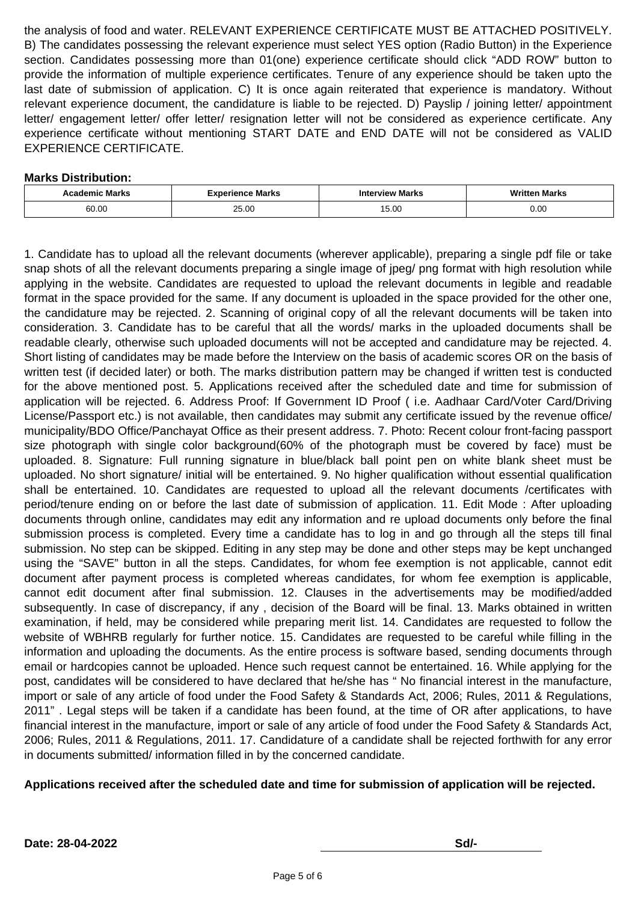the analysis of food and water. RELEVANT EXPERIENCE CERTIFICATE MUST BE ATTACHED POSITIVELY. B) The candidates possessing the relevant experience must select YES option (Radio Button) in the Experience section. Candidates possessing more than 01(one) experience certificate should click "ADD ROW" button to provide the information of multiple experience certificates. Tenure of any experience should be taken upto the last date of submission of application. C) It is once again reiterated that experience is mandatory. Without relevant experience document, the candidature is liable to be rejected. D) Payslip / joining letter/ appointment letter/ engagement letter/ offer letter/ resignation letter will not be considered as experience certificate. Any experience certificate without mentioning START DATE and END DATE will not be considered as VALID EXPERIENCE CERTIFICATE.

# **Marks Distribution:**

| Marks | <b>Nerience Marks</b><br>. <i>17 IA</i><br>EX DE | <b>Interview Marks</b>   | <b>Marks</b> |
|-------|--------------------------------------------------|--------------------------|--------------|
| 60.00 | OE UU<br>ZJ.UU                                   | $\Omega$<br>או<br>∣ ∪.∪∪ | 0.00         |

1. Candidate has to upload all the relevant documents (wherever applicable), preparing a single pdf file or take snap shots of all the relevant documents preparing a single image of jpeg/ png format with high resolution while applying in the website. Candidates are requested to upload the relevant documents in legible and readable format in the space provided for the same. If any document is uploaded in the space provided for the other one, the candidature may be rejected. 2. Scanning of original copy of all the relevant documents will be taken into consideration. 3. Candidate has to be careful that all the words/ marks in the uploaded documents shall be readable clearly, otherwise such uploaded documents will not be accepted and candidature may be rejected. 4. Short listing of candidates may be made before the Interview on the basis of academic scores OR on the basis of written test (if decided later) or both. The marks distribution pattern may be changed if written test is conducted for the above mentioned post. 5. Applications received after the scheduled date and time for submission of application will be rejected. 6. Address Proof: If Government ID Proof ( i.e. Aadhaar Card/Voter Card/Driving License/Passport etc.) is not available, then candidates may submit any certificate issued by the revenue office/ municipality/BDO Office/Panchayat Office as their present address. 7. Photo: Recent colour front-facing passport size photograph with single color background(60% of the photograph must be covered by face) must be uploaded. 8. Signature: Full running signature in blue/black ball point pen on white blank sheet must be uploaded. No short signature/ initial will be entertained. 9. No higher qualification without essential qualification shall be entertained. 10. Candidates are requested to upload all the relevant documents /certificates with period/tenure ending on or before the last date of submission of application. 11. Edit Mode : After uploading documents through online, candidates may edit any information and re upload documents only before the final submission process is completed. Every time a candidate has to log in and go through all the steps till final submission. No step can be skipped. Editing in any step may be done and other steps may be kept unchanged using the "SAVE" button in all the steps. Candidates, for whom fee exemption is not applicable, cannot edit document after payment process is completed whereas candidates, for whom fee exemption is applicable, cannot edit document after final submission. 12. Clauses in the advertisements may be modified/added subsequently. In case of discrepancy, if any , decision of the Board will be final. 13. Marks obtained in written examination, if held, may be considered while preparing merit list. 14. Candidates are requested to follow the website of WBHRB regularly for further notice. 15. Candidates are requested to be careful while filling in the information and uploading the documents. As the entire process is software based, sending documents through email or hardcopies cannot be uploaded. Hence such request cannot be entertained. 16. While applying for the post, candidates will be considered to have declared that he/she has " No financial interest in the manufacture, import or sale of any article of food under the Food Safety & Standards Act, 2006; Rules, 2011 & Regulations, 2011" . Legal steps will be taken if a candidate has been found, at the time of OR after applications, to have financial interest in the manufacture, import or sale of any article of food under the Food Safety & Standards Act, 2006; Rules, 2011 & Regulations, 2011. 17. Candidature of a candidate shall be rejected forthwith for any error in documents submitted/ information filled in by the concerned candidate.

## **Applications received after the scheduled date and time for submission of application will be rejected.**

**Date: 28-04-2022 Sd/-**